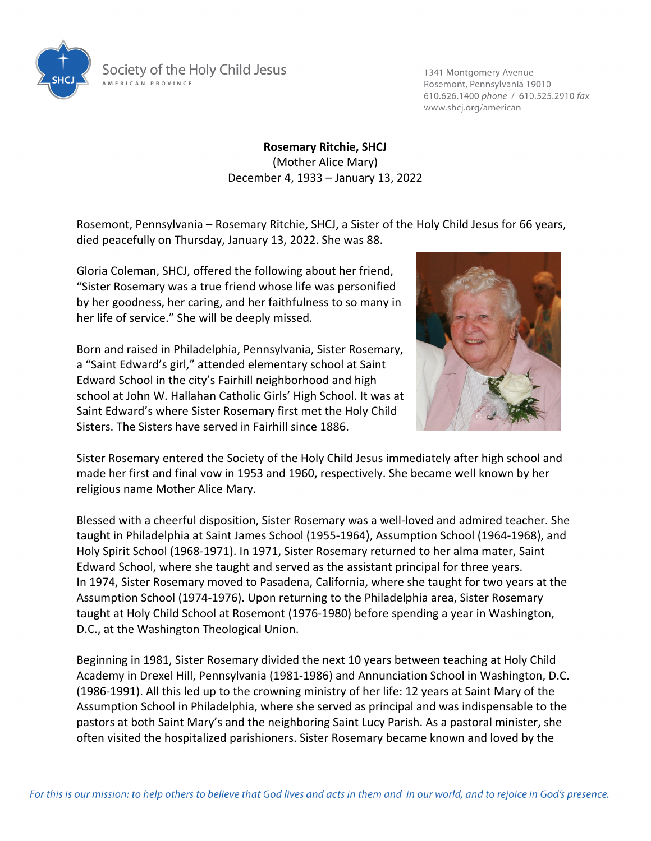

Society of the Holy Child Jesus A MERICAN PROVINCE

1341 Montgomery Avenue Rosemont, Pennsylvania 19010 610.626.1400 phone / 610.525.2910 fax www.shcj.org/american

**Rosemary Ritchie, SHCJ** (Mother Alice Mary) December 4, 1933 – January 13, 2022

Rosemont, Pennsylvania – Rosemary Ritchie, SHCJ, a Sister of the Holy Child Jesus for 66 years, died peacefully on Thursday, January 13, 2022. She was 88.

Gloria Coleman, SHCJ, offered the following about her friend, "Sister Rosemary was a true friend whose life was personified by her goodness, her caring, and her faithfulness to so many in her life of service." She will be deeply missed.



Born and raised in Philadelphia, Pennsylvania, Sister Rosemary, a "Saint Edward's girl," attended elementary school at Saint Edward School in the city's Fairhill neighborhood and high school at John W. Hallahan Catholic Girls' High School. It was at Saint Edward's where Sister Rosemary first met the Holy Child Sisters. The Sisters have served in Fairhill since 1886.

Sister Rosemary entered the Society of the Holy Child Jesus immediately after high school and made her first and final vow in 1953 and 1960, respectively. She became well known by her religious name Mother Alice Mary.

Blessed with a cheerful disposition, Sister Rosemary was a well-loved and admired teacher. She taught in Philadelphia at Saint James School (1955-1964), Assumption School (1964-1968), and Holy Spirit School (1968-1971). In 1971, Sister Rosemary returned to her alma mater, Saint Edward School, where she taught and served as the assistant principal for three years. In 1974, Sister Rosemary moved to Pasadena, California, where she taught for two years at the Assumption School (1974-1976). Upon returning to the Philadelphia area, Sister Rosemary taught at Holy Child School at Rosemont (1976-1980) before spending a year in Washington, D.C., at the Washington Theological Union.

Beginning in 1981, Sister Rosemary divided the next 10 years between teaching at Holy Child Academy in Drexel Hill, Pennsylvania (1981-1986) and Annunciation School in Washington, D.C. (1986-1991). All this led up to the crowning ministry of her life: 12 years at Saint Mary of the Assumption School in Philadelphia, where she served as principal and was indispensable to the pastors at both Saint Mary's and the neighboring Saint Lucy Parish. As a pastoral minister, she often visited the hospitalized parishioners. Sister Rosemary became known and loved by the